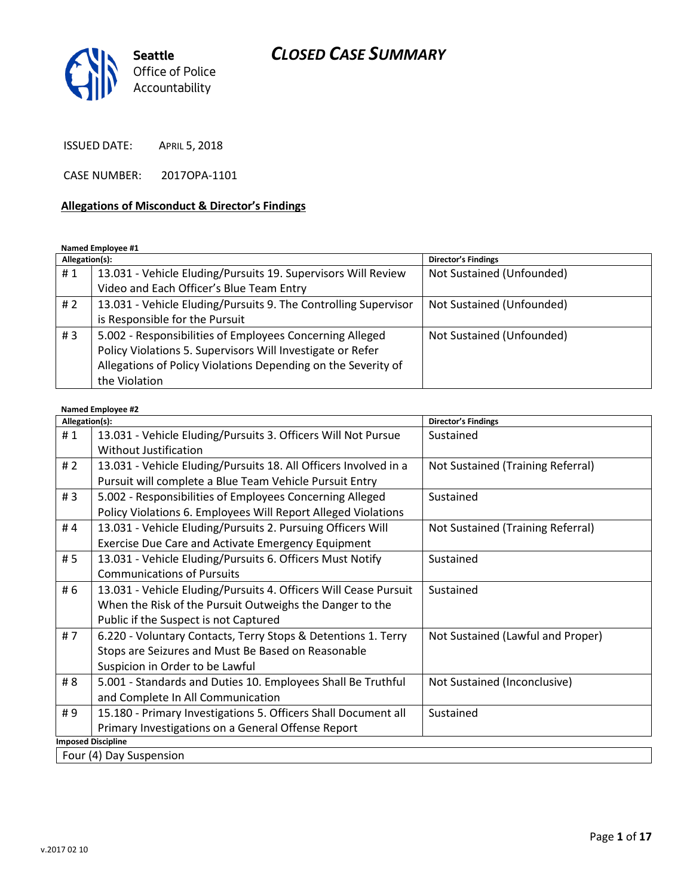

ISSUED DATE: APRIL 5, 2018

CASE NUMBER: 2017OPA-1101

#### **Allegations of Misconduct & Director's Findings**

**Named Employee #1**

| Allegation(s): |                                                                 | <b>Director's Findings</b> |
|----------------|-----------------------------------------------------------------|----------------------------|
| #1             | 13.031 - Vehicle Eluding/Pursuits 19. Supervisors Will Review   | Not Sustained (Unfounded)  |
|                | Video and Each Officer's Blue Team Entry                        |                            |
| # $2$          | 13.031 - Vehicle Eluding/Pursuits 9. The Controlling Supervisor | Not Sustained (Unfounded)  |
|                | is Responsible for the Pursuit                                  |                            |
| #3             | 5.002 - Responsibilities of Employees Concerning Alleged        | Not Sustained (Unfounded)  |
|                | Policy Violations 5. Supervisors Will Investigate or Refer      |                            |
|                | Allegations of Policy Violations Depending on the Severity of   |                            |
|                | the Violation                                                   |                            |

#### **Named Employee #2**

| Allegation(s):            |                                                                  | <b>Director's Findings</b>        |  |  |
|---------------------------|------------------------------------------------------------------|-----------------------------------|--|--|
| #1                        | 13.031 - Vehicle Eluding/Pursuits 3. Officers Will Not Pursue    | Sustained                         |  |  |
|                           | Without Justification                                            |                                   |  |  |
| #2                        | 13.031 - Vehicle Eluding/Pursuits 18. All Officers Involved in a | Not Sustained (Training Referral) |  |  |
|                           | Pursuit will complete a Blue Team Vehicle Pursuit Entry          |                                   |  |  |
| #3                        | 5.002 - Responsibilities of Employees Concerning Alleged         | Sustained                         |  |  |
|                           | Policy Violations 6. Employees Will Report Alleged Violations    |                                   |  |  |
| #4                        | 13.031 - Vehicle Eluding/Pursuits 2. Pursuing Officers Will      | Not Sustained (Training Referral) |  |  |
|                           | <b>Exercise Due Care and Activate Emergency Equipment</b>        |                                   |  |  |
| # 5                       | 13.031 - Vehicle Eluding/Pursuits 6. Officers Must Notify        | Sustained                         |  |  |
|                           | <b>Communications of Pursuits</b>                                |                                   |  |  |
| # 6                       | 13.031 - Vehicle Eluding/Pursuits 4. Officers Will Cease Pursuit | Sustained                         |  |  |
|                           | When the Risk of the Pursuit Outweighs the Danger to the         |                                   |  |  |
|                           | Public if the Suspect is not Captured                            |                                   |  |  |
| #7                        | 6.220 - Voluntary Contacts, Terry Stops & Detentions 1. Terry    | Not Sustained (Lawful and Proper) |  |  |
|                           | Stops are Seizures and Must Be Based on Reasonable               |                                   |  |  |
|                           | Suspicion in Order to be Lawful                                  |                                   |  |  |
| # 8                       | 5.001 - Standards and Duties 10. Employees Shall Be Truthful     | Not Sustained (Inconclusive)      |  |  |
|                           | and Complete In All Communication                                |                                   |  |  |
| #9                        | 15.180 - Primary Investigations 5. Officers Shall Document all   | Sustained                         |  |  |
|                           | Primary Investigations on a General Offense Report               |                                   |  |  |
| <b>Imposed Discipline</b> |                                                                  |                                   |  |  |
| Four (4) Day Suspension   |                                                                  |                                   |  |  |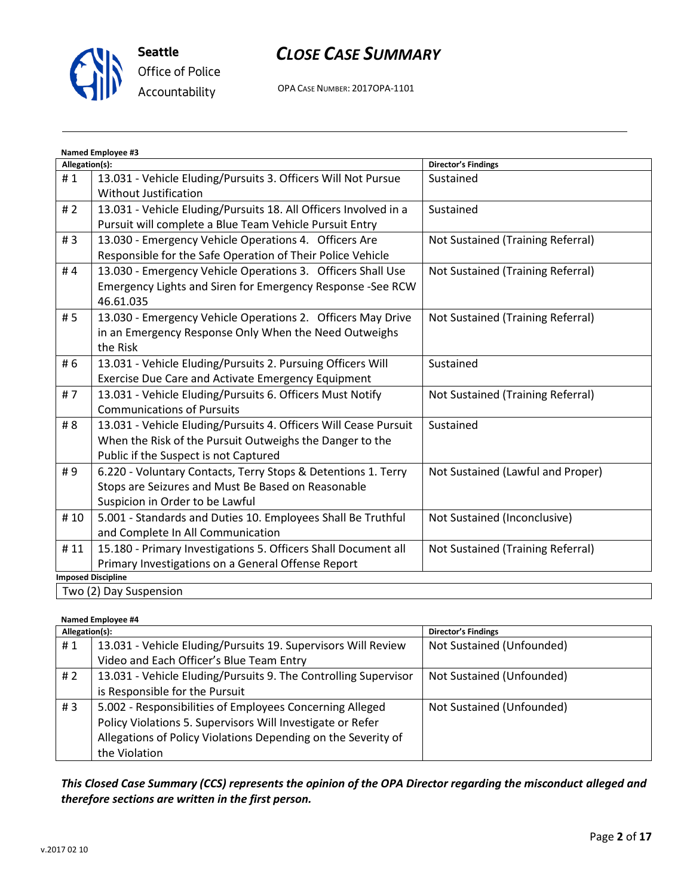

**Seattle** *Office of Police Accountability*

## *CLOSE CASE SUMMARY*

OPA CASE NUMBER: 2017OPA-1101

| <b>Named Employee #3</b>  |                                                                  |                                   |  |  |
|---------------------------|------------------------------------------------------------------|-----------------------------------|--|--|
| Allegation(s):            |                                                                  | <b>Director's Findings</b>        |  |  |
| #1                        | 13.031 - Vehicle Eluding/Pursuits 3. Officers Will Not Pursue    | Sustained                         |  |  |
|                           | Without Justification                                            |                                   |  |  |
| #2                        | 13.031 - Vehicle Eluding/Pursuits 18. All Officers Involved in a | Sustained                         |  |  |
|                           | Pursuit will complete a Blue Team Vehicle Pursuit Entry          |                                   |  |  |
| #3                        | 13.030 - Emergency Vehicle Operations 4. Officers Are            | Not Sustained (Training Referral) |  |  |
|                           | Responsible for the Safe Operation of Their Police Vehicle       |                                   |  |  |
| #4                        | 13.030 - Emergency Vehicle Operations 3. Officers Shall Use      | Not Sustained (Training Referral) |  |  |
|                           | Emergency Lights and Siren for Emergency Response -See RCW       |                                   |  |  |
|                           | 46.61.035                                                        |                                   |  |  |
| # 5                       | 13.030 - Emergency Vehicle Operations 2. Officers May Drive      | Not Sustained (Training Referral) |  |  |
|                           | in an Emergency Response Only When the Need Outweighs            |                                   |  |  |
|                           | the Risk                                                         |                                   |  |  |
| #6                        | 13.031 - Vehicle Eluding/Pursuits 2. Pursuing Officers Will      | Sustained                         |  |  |
|                           | Exercise Due Care and Activate Emergency Equipment               |                                   |  |  |
| #7                        | 13.031 - Vehicle Eluding/Pursuits 6. Officers Must Notify        | Not Sustained (Training Referral) |  |  |
|                           | <b>Communications of Pursuits</b>                                |                                   |  |  |
| # 8                       | 13.031 - Vehicle Eluding/Pursuits 4. Officers Will Cease Pursuit | Sustained                         |  |  |
|                           | When the Risk of the Pursuit Outweighs the Danger to the         |                                   |  |  |
|                           | Public if the Suspect is not Captured                            |                                   |  |  |
| #9                        | 6.220 - Voluntary Contacts, Terry Stops & Detentions 1. Terry    | Not Sustained (Lawful and Proper) |  |  |
|                           | Stops are Seizures and Must Be Based on Reasonable               |                                   |  |  |
|                           | Suspicion in Order to be Lawful                                  |                                   |  |  |
| #10                       | 5.001 - Standards and Duties 10. Employees Shall Be Truthful     | Not Sustained (Inconclusive)      |  |  |
|                           | and Complete In All Communication                                |                                   |  |  |
| #11                       | 15.180 - Primary Investigations 5. Officers Shall Document all   | Not Sustained (Training Referral) |  |  |
|                           | Primary Investigations on a General Offense Report               |                                   |  |  |
| <b>Imposed Discipline</b> |                                                                  |                                   |  |  |
| Two (2) Day Suspension    |                                                                  |                                   |  |  |

#### **Named Employee #4**

| Allegation(s): |                                                                 | <b>Director's Findings</b> |
|----------------|-----------------------------------------------------------------|----------------------------|
| #1             | 13.031 - Vehicle Eluding/Pursuits 19. Supervisors Will Review   | Not Sustained (Unfounded)  |
|                | Video and Each Officer's Blue Team Entry                        |                            |
| #2             | 13.031 - Vehicle Eluding/Pursuits 9. The Controlling Supervisor | Not Sustained (Unfounded)  |
|                | is Responsible for the Pursuit                                  |                            |
| #3             | 5.002 - Responsibilities of Employees Concerning Alleged        | Not Sustained (Unfounded)  |
|                | Policy Violations 5. Supervisors Will Investigate or Refer      |                            |
|                | Allegations of Policy Violations Depending on the Severity of   |                            |
|                | the Violation                                                   |                            |

*This Closed Case Summary (CCS) represents the opinion of the OPA Director regarding the misconduct alleged and therefore sections are written in the first person.*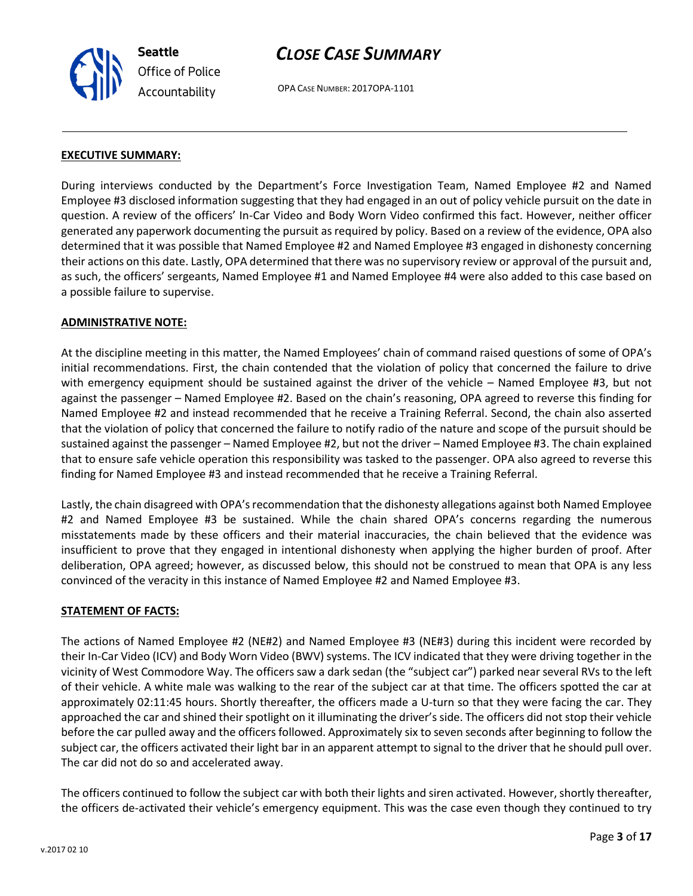

OPA CASE NUMBER: 2017OPA-1101

#### **EXECUTIVE SUMMARY:**

During interviews conducted by the Department's Force Investigation Team, Named Employee #2 and Named Employee #3 disclosed information suggesting that they had engaged in an out of policy vehicle pursuit on the date in question. A review of the officers' In-Car Video and Body Worn Video confirmed this fact. However, neither officer generated any paperwork documenting the pursuit as required by policy. Based on a review of the evidence, OPA also determined that it was possible that Named Employee #2 and Named Employee #3 engaged in dishonesty concerning their actions on this date. Lastly, OPA determined that there was no supervisory review or approval of the pursuit and, as such, the officers' sergeants, Named Employee #1 and Named Employee #4 were also added to this case based on a possible failure to supervise.

#### **ADMINISTRATIVE NOTE:**

At the discipline meeting in this matter, the Named Employees' chain of command raised questions of some of OPA's initial recommendations. First, the chain contended that the violation of policy that concerned the failure to drive with emergency equipment should be sustained against the driver of the vehicle – Named Employee #3, but not against the passenger – Named Employee #2. Based on the chain's reasoning, OPA agreed to reverse this finding for Named Employee #2 and instead recommended that he receive a Training Referral. Second, the chain also asserted that the violation of policy that concerned the failure to notify radio of the nature and scope of the pursuit should be sustained against the passenger – Named Employee #2, but not the driver – Named Employee #3. The chain explained that to ensure safe vehicle operation this responsibility was tasked to the passenger. OPA also agreed to reverse this finding for Named Employee #3 and instead recommended that he receive a Training Referral.

Lastly, the chain disagreed with OPA's recommendation that the dishonesty allegations against both Named Employee #2 and Named Employee #3 be sustained. While the chain shared OPA's concerns regarding the numerous misstatements made by these officers and their material inaccuracies, the chain believed that the evidence was insufficient to prove that they engaged in intentional dishonesty when applying the higher burden of proof. After deliberation, OPA agreed; however, as discussed below, this should not be construed to mean that OPA is any less convinced of the veracity in this instance of Named Employee #2 and Named Employee #3.

#### **STATEMENT OF FACTS:**

The actions of Named Employee #2 (NE#2) and Named Employee #3 (NE#3) during this incident were recorded by their In-Car Video (ICV) and Body Worn Video (BWV) systems. The ICV indicated that they were driving together in the vicinity of West Commodore Way. The officers saw a dark sedan (the "subject car") parked near several RVs to the left of their vehicle. A white male was walking to the rear of the subject car at that time. The officers spotted the car at approximately 02:11:45 hours. Shortly thereafter, the officers made a U-turn so that they were facing the car. They approached the car and shined their spotlight on it illuminating the driver's side. The officers did not stop their vehicle before the car pulled away and the officers followed. Approximately six to seven seconds after beginning to follow the subject car, the officers activated their light bar in an apparent attempt to signal to the driver that he should pull over. The car did not do so and accelerated away.

The officers continued to follow the subject car with both their lights and siren activated. However, shortly thereafter, the officers de-activated their vehicle's emergency equipment. This was the case even though they continued to try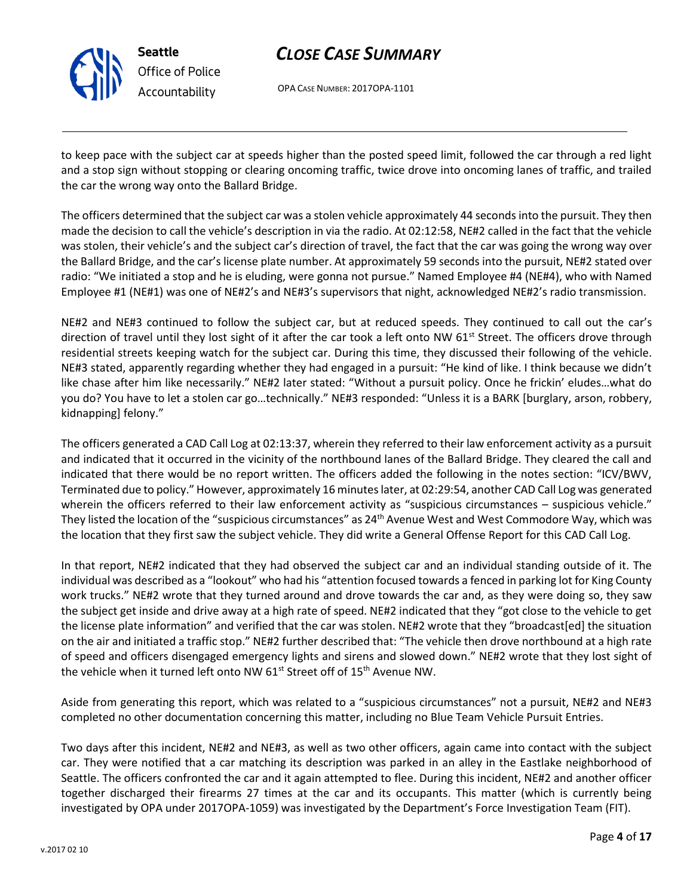

OPA CASE NUMBER: 2017OPA-1101

to keep pace with the subject car at speeds higher than the posted speed limit, followed the car through a red light and a stop sign without stopping or clearing oncoming traffic, twice drove into oncoming lanes of traffic, and trailed the car the wrong way onto the Ballard Bridge.

The officers determined that the subject car was a stolen vehicle approximately 44 seconds into the pursuit. They then made the decision to call the vehicle's description in via the radio. At 02:12:58, NE#2 called in the fact that the vehicle was stolen, their vehicle's and the subject car's direction of travel, the fact that the car was going the wrong way over the Ballard Bridge, and the car's license plate number. At approximately 59 seconds into the pursuit, NE#2 stated over radio: "We initiated a stop and he is eluding, were gonna not pursue." Named Employee #4 (NE#4), who with Named Employee #1 (NE#1) was one of NE#2's and NE#3's supervisors that night, acknowledged NE#2's radio transmission.

NE#2 and NE#3 continued to follow the subject car, but at reduced speeds. They continued to call out the car's direction of travel until they lost sight of it after the car took a left onto NW  $61<sup>st</sup>$  Street. The officers drove through residential streets keeping watch for the subject car. During this time, they discussed their following of the vehicle. NE#3 stated, apparently regarding whether they had engaged in a pursuit: "He kind of like. I think because we didn't like chase after him like necessarily." NE#2 later stated: "Without a pursuit policy. Once he frickin' eludes…what do you do? You have to let a stolen car go…technically." NE#3 responded: "Unless it is a BARK [burglary, arson, robbery, kidnapping] felony."

The officers generated a CAD Call Log at 02:13:37, wherein they referred to their law enforcement activity as a pursuit and indicated that it occurred in the vicinity of the northbound lanes of the Ballard Bridge. They cleared the call and indicated that there would be no report written. The officers added the following in the notes section: "ICV/BWV, Terminated due to policy." However, approximately 16 minutes later, at 02:29:54, another CAD Call Log was generated wherein the officers referred to their law enforcement activity as "suspicious circumstances – suspicious vehicle." They listed the location of the "suspicious circumstances" as 24th Avenue West and West Commodore Way, which was the location that they first saw the subject vehicle. They did write a General Offense Report for this CAD Call Log.

In that report, NE#2 indicated that they had observed the subject car and an individual standing outside of it. The individual was described as a "lookout" who had his "attention focused towards a fenced in parking lot for King County work trucks." NE#2 wrote that they turned around and drove towards the car and, as they were doing so, they saw the subject get inside and drive away at a high rate of speed. NE#2 indicated that they "got close to the vehicle to get the license plate information" and verified that the car was stolen. NE#2 wrote that they "broadcast[ed] the situation on the air and initiated a traffic stop." NE#2 further described that: "The vehicle then drove northbound at a high rate of speed and officers disengaged emergency lights and sirens and slowed down." NE#2 wrote that they lost sight of the vehicle when it turned left onto NW 61<sup>st</sup> Street off of 15<sup>th</sup> Avenue NW.

Aside from generating this report, which was related to a "suspicious circumstances" not a pursuit, NE#2 and NE#3 completed no other documentation concerning this matter, including no Blue Team Vehicle Pursuit Entries.

Two days after this incident, NE#2 and NE#3, as well as two other officers, again came into contact with the subject car. They were notified that a car matching its description was parked in an alley in the Eastlake neighborhood of Seattle. The officers confronted the car and it again attempted to flee. During this incident, NE#2 and another officer together discharged their firearms 27 times at the car and its occupants. This matter (which is currently being investigated by OPA under 2017OPA-1059) was investigated by the Department's Force Investigation Team (FIT).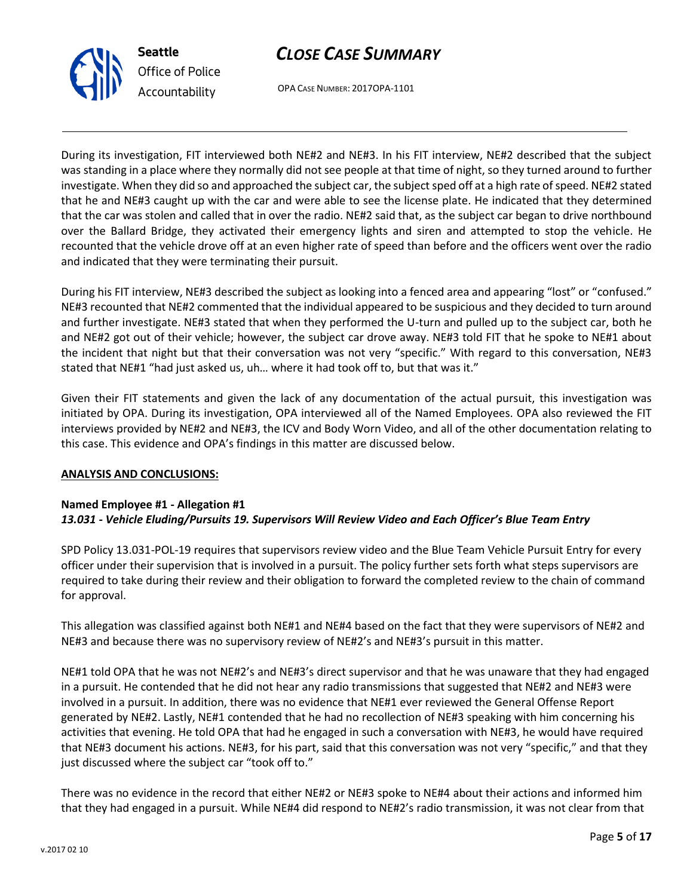



During its investigation, FIT interviewed both NE#2 and NE#3. In his FIT interview, NE#2 described that the subject was standing in a place where they normally did not see people at that time of night, so they turned around to further investigate. When they did so and approached the subject car, the subject sped off at a high rate of speed. NE#2 stated that he and NE#3 caught up with the car and were able to see the license plate. He indicated that they determined that the car was stolen and called that in over the radio. NE#2 said that, as the subject car began to drive northbound over the Ballard Bridge, they activated their emergency lights and siren and attempted to stop the vehicle. He recounted that the vehicle drove off at an even higher rate of speed than before and the officers went over the radio and indicated that they were terminating their pursuit.

During his FIT interview, NE#3 described the subject as looking into a fenced area and appearing "lost" or "confused." NE#3 recounted that NE#2 commented that the individual appeared to be suspicious and they decided to turn around and further investigate. NE#3 stated that when they performed the U-turn and pulled up to the subject car, both he and NE#2 got out of their vehicle; however, the subject car drove away. NE#3 told FIT that he spoke to NE#1 about the incident that night but that their conversation was not very "specific." With regard to this conversation, NE#3 stated that NE#1 "had just asked us, uh… where it had took off to, but that was it."

Given their FIT statements and given the lack of any documentation of the actual pursuit, this investigation was initiated by OPA. During its investigation, OPA interviewed all of the Named Employees. OPA also reviewed the FIT interviews provided by NE#2 and NE#3, the ICV and Body Worn Video, and all of the other documentation relating to this case. This evidence and OPA's findings in this matter are discussed below.

#### **ANALYSIS AND CONCLUSIONS:**

#### **Named Employee #1 - Allegation #1** *13.031 - Vehicle Eluding/Pursuits 19. Supervisors Will Review Video and Each Officer's Blue Team Entry*

SPD Policy 13.031-POL-19 requires that supervisors review video and the Blue Team Vehicle Pursuit Entry for every officer under their supervision that is involved in a pursuit. The policy further sets forth what steps supervisors are required to take during their review and their obligation to forward the completed review to the chain of command for approval.

This allegation was classified against both NE#1 and NE#4 based on the fact that they were supervisors of NE#2 and NE#3 and because there was no supervisory review of NE#2's and NE#3's pursuit in this matter.

NE#1 told OPA that he was not NE#2's and NE#3's direct supervisor and that he was unaware that they had engaged in a pursuit. He contended that he did not hear any radio transmissions that suggested that NE#2 and NE#3 were involved in a pursuit. In addition, there was no evidence that NE#1 ever reviewed the General Offense Report generated by NE#2. Lastly, NE#1 contended that he had no recollection of NE#3 speaking with him concerning his activities that evening. He told OPA that had he engaged in such a conversation with NE#3, he would have required that NE#3 document his actions. NE#3, for his part, said that this conversation was not very "specific," and that they just discussed where the subject car "took off to."

There was no evidence in the record that either NE#2 or NE#3 spoke to NE#4 about their actions and informed him that they had engaged in a pursuit. While NE#4 did respond to NE#2's radio transmission, it was not clear from that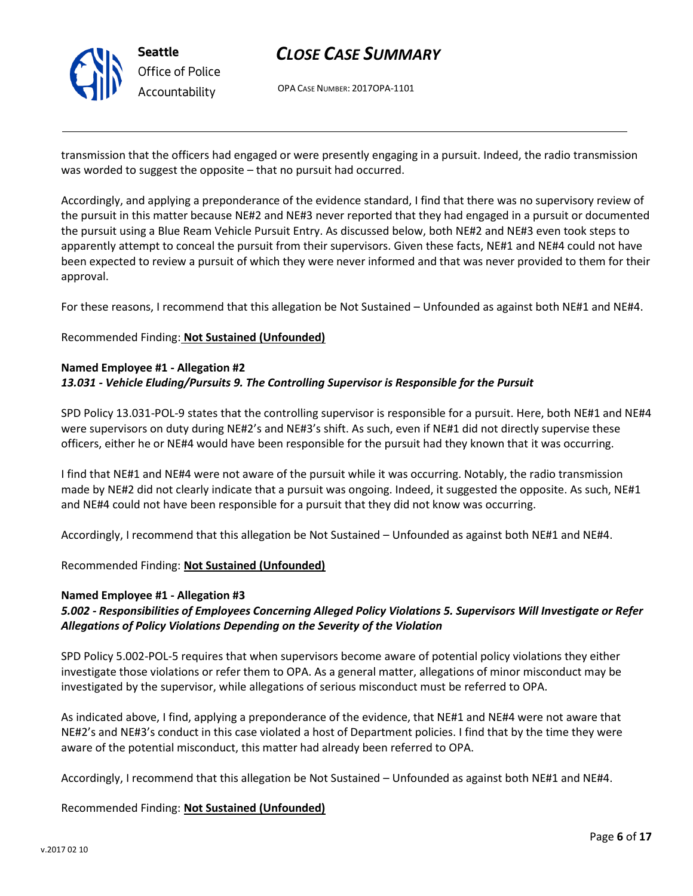

OPA CASE NUMBER: 2017OPA-1101

transmission that the officers had engaged or were presently engaging in a pursuit. Indeed, the radio transmission was worded to suggest the opposite – that no pursuit had occurred.

Accordingly, and applying a preponderance of the evidence standard, I find that there was no supervisory review of the pursuit in this matter because NE#2 and NE#3 never reported that they had engaged in a pursuit or documented the pursuit using a Blue Ream Vehicle Pursuit Entry. As discussed below, both NE#2 and NE#3 even took steps to apparently attempt to conceal the pursuit from their supervisors. Given these facts, NE#1 and NE#4 could not have been expected to review a pursuit of which they were never informed and that was never provided to them for their approval.

For these reasons, I recommend that this allegation be Not Sustained – Unfounded as against both NE#1 and NE#4.

Recommended Finding: **Not Sustained (Unfounded)**

#### **Named Employee #1 - Allegation #2**

### *13.031 - Vehicle Eluding/Pursuits 9. The Controlling Supervisor is Responsible for the Pursuit*

SPD Policy 13.031-POL-9 states that the controlling supervisor is responsible for a pursuit. Here, both NE#1 and NE#4 were supervisors on duty during NE#2's and NE#3's shift. As such, even if NE#1 did not directly supervise these officers, either he or NE#4 would have been responsible for the pursuit had they known that it was occurring.

I find that NE#1 and NE#4 were not aware of the pursuit while it was occurring. Notably, the radio transmission made by NE#2 did not clearly indicate that a pursuit was ongoing. Indeed, it suggested the opposite. As such, NE#1 and NE#4 could not have been responsible for a pursuit that they did not know was occurring.

Accordingly, I recommend that this allegation be Not Sustained – Unfounded as against both NE#1 and NE#4.

## Recommended Finding: **Not Sustained (Unfounded)**

#### **Named Employee #1 - Allegation #3**

## *5.002 - Responsibilities of Employees Concerning Alleged Policy Violations 5. Supervisors Will Investigate or Refer Allegations of Policy Violations Depending on the Severity of the Violation*

SPD Policy 5.002-POL-5 requires that when supervisors become aware of potential policy violations they either investigate those violations or refer them to OPA. As a general matter, allegations of minor misconduct may be investigated by the supervisor, while allegations of serious misconduct must be referred to OPA.

As indicated above, I find, applying a preponderance of the evidence, that NE#1 and NE#4 were not aware that NE#2's and NE#3's conduct in this case violated a host of Department policies. I find that by the time they were aware of the potential misconduct, this matter had already been referred to OPA.

Accordingly, I recommend that this allegation be Not Sustained – Unfounded as against both NE#1 and NE#4.

#### Recommended Finding: **Not Sustained (Unfounded)**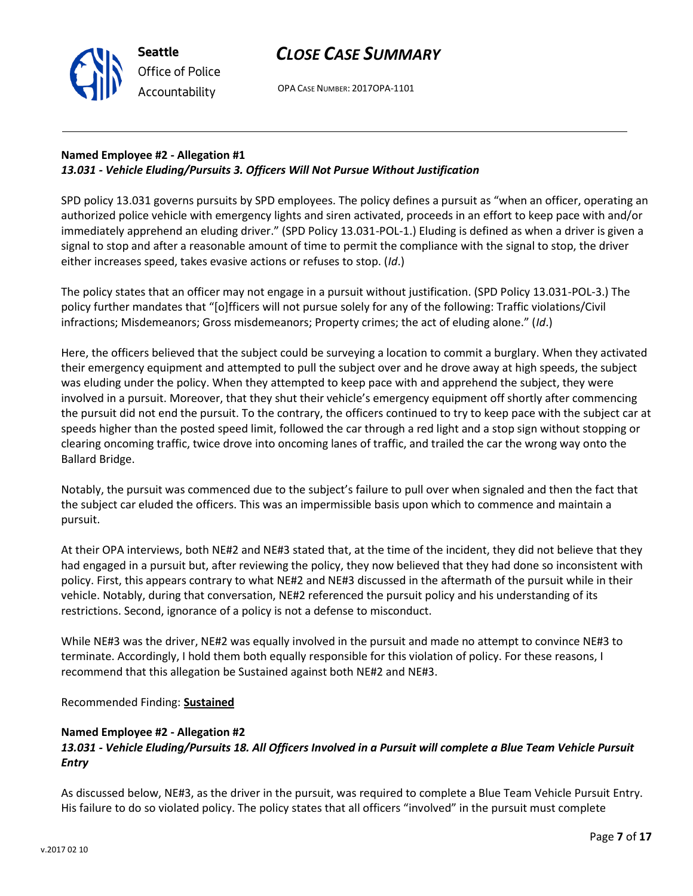

## **Named Employee #2 - Allegation #1** *13.031 - Vehicle Eluding/Pursuits 3. Officers Will Not Pursue Without Justification*

SPD policy 13.031 governs pursuits by SPD employees. The policy defines a pursuit as "when an officer, operating an authorized police vehicle with emergency lights and siren activated, proceeds in an effort to keep pace with and/or immediately apprehend an eluding driver." (SPD Policy 13.031-POL-1.) Eluding is defined as when a driver is given a signal to stop and after a reasonable amount of time to permit the compliance with the signal to stop, the driver either increases speed, takes evasive actions or refuses to stop. (*Id*.)

The policy states that an officer may not engage in a pursuit without justification. (SPD Policy 13.031-POL-3.) The policy further mandates that "[o]fficers will not pursue solely for any of the following: Traffic violations/Civil infractions; Misdemeanors; Gross misdemeanors; Property crimes; the act of eluding alone." (*Id*.)

Here, the officers believed that the subject could be surveying a location to commit a burglary. When they activated their emergency equipment and attempted to pull the subject over and he drove away at high speeds, the subject was eluding under the policy. When they attempted to keep pace with and apprehend the subject, they were involved in a pursuit. Moreover, that they shut their vehicle's emergency equipment off shortly after commencing the pursuit did not end the pursuit. To the contrary, the officers continued to try to keep pace with the subject car at speeds higher than the posted speed limit, followed the car through a red light and a stop sign without stopping or clearing oncoming traffic, twice drove into oncoming lanes of traffic, and trailed the car the wrong way onto the Ballard Bridge.

Notably, the pursuit was commenced due to the subject's failure to pull over when signaled and then the fact that the subject car eluded the officers. This was an impermissible basis upon which to commence and maintain a pursuit.

At their OPA interviews, both NE#2 and NE#3 stated that, at the time of the incident, they did not believe that they had engaged in a pursuit but, after reviewing the policy, they now believed that they had done so inconsistent with policy. First, this appears contrary to what NE#2 and NE#3 discussed in the aftermath of the pursuit while in their vehicle. Notably, during that conversation, NE#2 referenced the pursuit policy and his understanding of its restrictions. Second, ignorance of a policy is not a defense to misconduct.

While NE#3 was the driver, NE#2 was equally involved in the pursuit and made no attempt to convince NE#3 to terminate. Accordingly, I hold them both equally responsible for this violation of policy. For these reasons, I recommend that this allegation be Sustained against both NE#2 and NE#3.

Recommended Finding: **Sustained**

## **Named Employee #2 - Allegation #2**

## *13.031 - Vehicle Eluding/Pursuits 18. All Officers Involved in a Pursuit will complete a Blue Team Vehicle Pursuit Entry*

As discussed below, NE#3, as the driver in the pursuit, was required to complete a Blue Team Vehicle Pursuit Entry. His failure to do so violated policy. The policy states that all officers "involved" in the pursuit must complete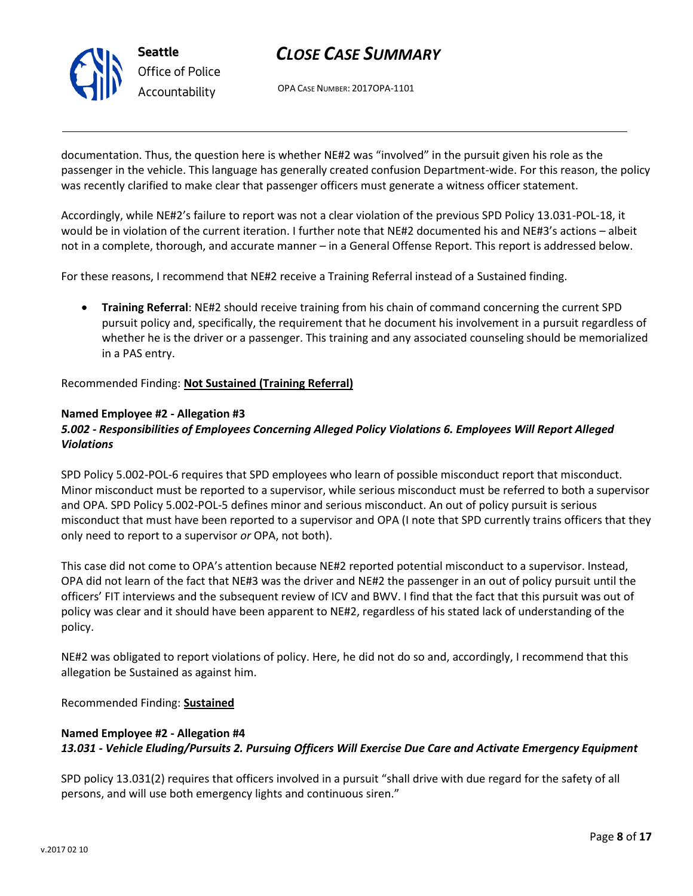

OPA CASE NUMBER: 2017OPA-1101

documentation. Thus, the question here is whether NE#2 was "involved" in the pursuit given his role as the passenger in the vehicle. This language has generally created confusion Department-wide. For this reason, the policy was recently clarified to make clear that passenger officers must generate a witness officer statement.

Accordingly, while NE#2's failure to report was not a clear violation of the previous SPD Policy 13.031-POL-18, it would be in violation of the current iteration. I further note that NE#2 documented his and NE#3's actions – albeit not in a complete, thorough, and accurate manner – in a General Offense Report. This report is addressed below.

For these reasons, I recommend that NE#2 receive a Training Referral instead of a Sustained finding.

• **Training Referral**: NE#2 should receive training from his chain of command concerning the current SPD pursuit policy and, specifically, the requirement that he document his involvement in a pursuit regardless of whether he is the driver or a passenger. This training and any associated counseling should be memorialized in a PAS entry.

Recommended Finding: **Not Sustained (Training Referral)**

#### **Named Employee #2 - Allegation #3**

## *5.002 - Responsibilities of Employees Concerning Alleged Policy Violations 6. Employees Will Report Alleged Violations*

SPD Policy 5.002-POL-6 requires that SPD employees who learn of possible misconduct report that misconduct. Minor misconduct must be reported to a supervisor, while serious misconduct must be referred to both a supervisor and OPA. SPD Policy 5.002-POL-5 defines minor and serious misconduct. An out of policy pursuit is serious misconduct that must have been reported to a supervisor and OPA (I note that SPD currently trains officers that they only need to report to a supervisor *or* OPA, not both).

This case did not come to OPA's attention because NE#2 reported potential misconduct to a supervisor. Instead, OPA did not learn of the fact that NE#3 was the driver and NE#2 the passenger in an out of policy pursuit until the officers' FIT interviews and the subsequent review of ICV and BWV. I find that the fact that this pursuit was out of policy was clear and it should have been apparent to NE#2, regardless of his stated lack of understanding of the policy.

NE#2 was obligated to report violations of policy. Here, he did not do so and, accordingly, I recommend that this allegation be Sustained as against him.

#### Recommended Finding: **Sustained**

### **Named Employee #2 - Allegation #4** *13.031 - Vehicle Eluding/Pursuits 2. Pursuing Officers Will Exercise Due Care and Activate Emergency Equipment*

SPD policy 13.031(2) requires that officers involved in a pursuit "shall drive with due regard for the safety of all persons, and will use both emergency lights and continuous siren."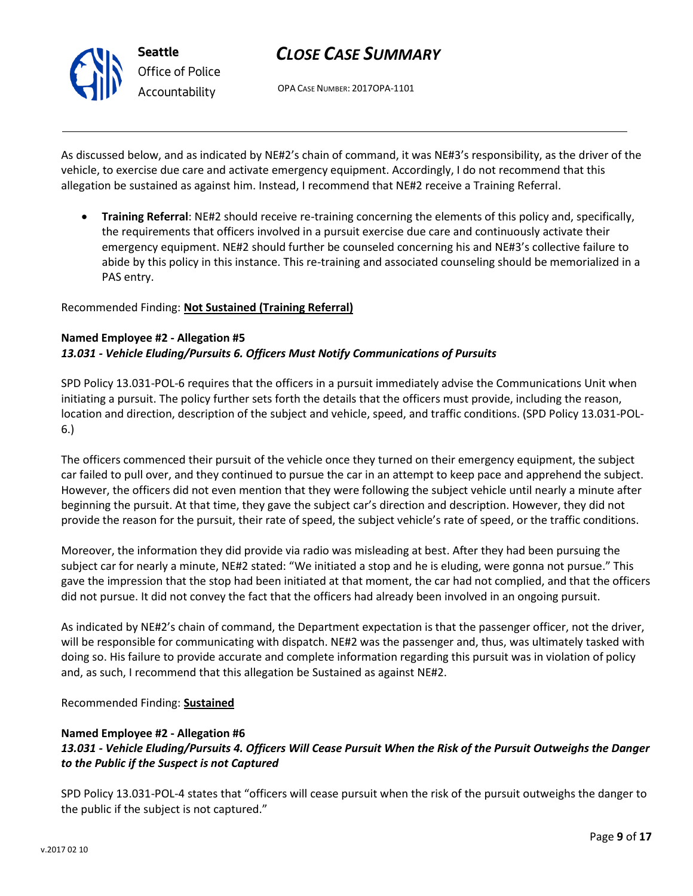

OPA CASE NUMBER: 2017OPA-1101

As discussed below, and as indicated by NE#2's chain of command, it was NE#3's responsibility, as the driver of the vehicle, to exercise due care and activate emergency equipment. Accordingly, I do not recommend that this allegation be sustained as against him. Instead, I recommend that NE#2 receive a Training Referral.

• **Training Referral**: NE#2 should receive re-training concerning the elements of this policy and, specifically, the requirements that officers involved in a pursuit exercise due care and continuously activate their emergency equipment. NE#2 should further be counseled concerning his and NE#3's collective failure to abide by this policy in this instance. This re-training and associated counseling should be memorialized in a PAS entry.

### Recommended Finding: **Not Sustained (Training Referral)**

## **Named Employee #2 - Allegation #5** *13.031 - Vehicle Eluding/Pursuits 6. Officers Must Notify Communications of Pursuits*

SPD Policy 13.031-POL-6 requires that the officers in a pursuit immediately advise the Communications Unit when initiating a pursuit. The policy further sets forth the details that the officers must provide, including the reason, location and direction, description of the subject and vehicle, speed, and traffic conditions. (SPD Policy 13.031-POL-6.)

The officers commenced their pursuit of the vehicle once they turned on their emergency equipment, the subject car failed to pull over, and they continued to pursue the car in an attempt to keep pace and apprehend the subject. However, the officers did not even mention that they were following the subject vehicle until nearly a minute after beginning the pursuit. At that time, they gave the subject car's direction and description. However, they did not provide the reason for the pursuit, their rate of speed, the subject vehicle's rate of speed, or the traffic conditions.

Moreover, the information they did provide via radio was misleading at best. After they had been pursuing the subject car for nearly a minute, NE#2 stated: "We initiated a stop and he is eluding, were gonna not pursue." This gave the impression that the stop had been initiated at that moment, the car had not complied, and that the officers did not pursue. It did not convey the fact that the officers had already been involved in an ongoing pursuit.

As indicated by NE#2's chain of command, the Department expectation is that the passenger officer, not the driver, will be responsible for communicating with dispatch. NE#2 was the passenger and, thus, was ultimately tasked with doing so. His failure to provide accurate and complete information regarding this pursuit was in violation of policy and, as such, I recommend that this allegation be Sustained as against NE#2.

## Recommended Finding: **Sustained**

#### **Named Employee #2 - Allegation #6**

## *13.031 - Vehicle Eluding/Pursuits 4. Officers Will Cease Pursuit When the Risk of the Pursuit Outweighs the Danger to the Public if the Suspect is not Captured*

SPD Policy 13.031-POL-4 states that "officers will cease pursuit when the risk of the pursuit outweighs the danger to the public if the subject is not captured."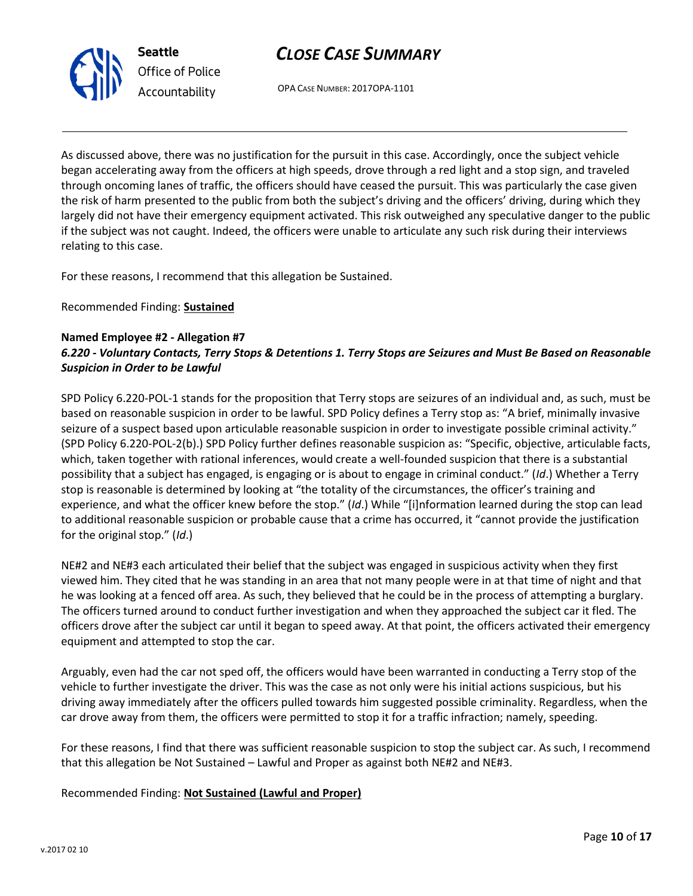



As discussed above, there was no justification for the pursuit in this case. Accordingly, once the subject vehicle began accelerating away from the officers at high speeds, drove through a red light and a stop sign, and traveled through oncoming lanes of traffic, the officers should have ceased the pursuit. This was particularly the case given the risk of harm presented to the public from both the subject's driving and the officers' driving, during which they largely did not have their emergency equipment activated. This risk outweighed any speculative danger to the public if the subject was not caught. Indeed, the officers were unable to articulate any such risk during their interviews relating to this case.

For these reasons, I recommend that this allegation be Sustained.

Recommended Finding: **Sustained**

## **Named Employee #2 - Allegation #7** *6.220 - Voluntary Contacts, Terry Stops & Detentions 1. Terry Stops are Seizures and Must Be Based on Reasonable Suspicion in Order to be Lawful*

SPD Policy 6.220-POL-1 stands for the proposition that Terry stops are seizures of an individual and, as such, must be based on reasonable suspicion in order to be lawful. SPD Policy defines a Terry stop as: "A brief, minimally invasive seizure of a suspect based upon articulable reasonable suspicion in order to investigate possible criminal activity." (SPD Policy 6.220-POL-2(b).) SPD Policy further defines reasonable suspicion as: "Specific, objective, articulable facts, which, taken together with rational inferences, would create a well-founded suspicion that there is a substantial possibility that a subject has engaged, is engaging or is about to engage in criminal conduct." (*Id*.) Whether a Terry stop is reasonable is determined by looking at "the totality of the circumstances, the officer's training and experience, and what the officer knew before the stop." (*Id*.) While "[i]nformation learned during the stop can lead to additional reasonable suspicion or probable cause that a crime has occurred, it "cannot provide the justification for the original stop." (*Id*.)

NE#2 and NE#3 each articulated their belief that the subject was engaged in suspicious activity when they first viewed him. They cited that he was standing in an area that not many people were in at that time of night and that he was looking at a fenced off area. As such, they believed that he could be in the process of attempting a burglary. The officers turned around to conduct further investigation and when they approached the subject car it fled. The officers drove after the subject car until it began to speed away. At that point, the officers activated their emergency equipment and attempted to stop the car.

Arguably, even had the car not sped off, the officers would have been warranted in conducting a Terry stop of the vehicle to further investigate the driver. This was the case as not only were his initial actions suspicious, but his driving away immediately after the officers pulled towards him suggested possible criminality. Regardless, when the car drove away from them, the officers were permitted to stop it for a traffic infraction; namely, speeding.

For these reasons, I find that there was sufficient reasonable suspicion to stop the subject car. As such, I recommend that this allegation be Not Sustained – Lawful and Proper as against both NE#2 and NE#3.

Recommended Finding: **Not Sustained (Lawful and Proper)**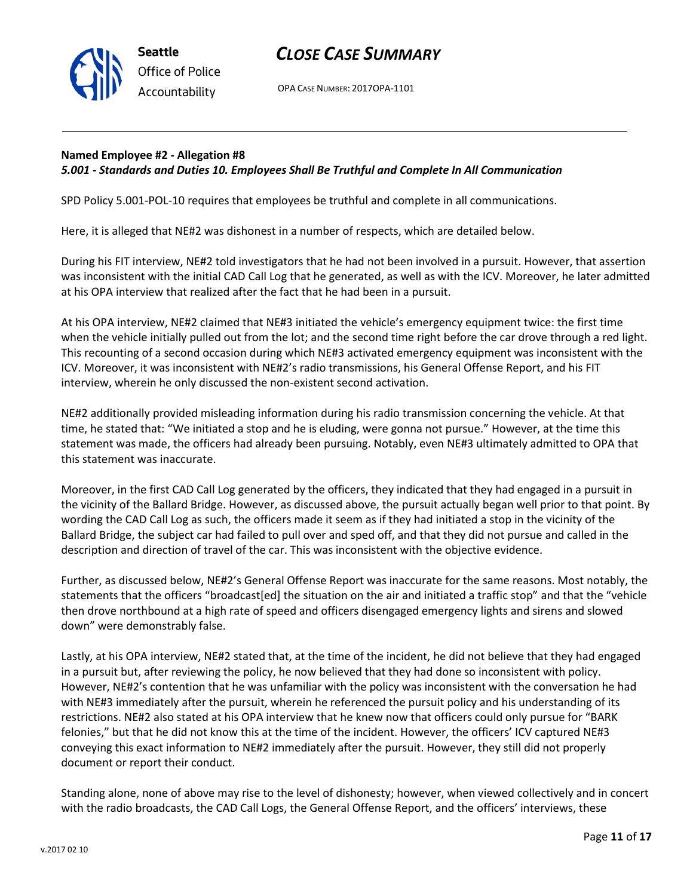

OPA CASE NUMBER: 2017OPA-1101

#### **Named Employee #2 - Allegation #8** *5.001 - Standards and Duties 10. Employees Shall Be Truthful and Complete In All Communication*

SPD Policy 5.001-POL-10 requires that employees be truthful and complete in all communications.

Here, it is alleged that NE#2 was dishonest in a number of respects, which are detailed below.

During his FIT interview, NE#2 told investigators that he had not been involved in a pursuit. However, that assertion was inconsistent with the initial CAD Call Log that he generated, as well as with the ICV. Moreover, he later admitted at his OPA interview that realized after the fact that he had been in a pursuit.

At his OPA interview, NE#2 claimed that NE#3 initiated the vehicle's emergency equipment twice: the first time when the vehicle initially pulled out from the lot; and the second time right before the car drove through a red light. This recounting of a second occasion during which NE#3 activated emergency equipment was inconsistent with the ICV. Moreover, it was inconsistent with NE#2's radio transmissions, his General Offense Report, and his FIT interview, wherein he only discussed the non-existent second activation.

NE#2 additionally provided misleading information during his radio transmission concerning the vehicle. At that time, he stated that: "We initiated a stop and he is eluding, were gonna not pursue." However, at the time this statement was made, the officers had already been pursuing. Notably, even NE#3 ultimately admitted to OPA that this statement was inaccurate.

Moreover, in the first CAD Call Log generated by the officers, they indicated that they had engaged in a pursuit in the vicinity of the Ballard Bridge. However, as discussed above, the pursuit actually began well prior to that point. By wording the CAD Call Log as such, the officers made it seem as if they had initiated a stop in the vicinity of the Ballard Bridge, the subject car had failed to pull over and sped off, and that they did not pursue and called in the description and direction of travel of the car. This was inconsistent with the objective evidence.

Further, as discussed below, NE#2's General Offense Report was inaccurate for the same reasons. Most notably, the statements that the officers "broadcast[ed] the situation on the air and initiated a traffic stop" and that the "vehicle then drove northbound at a high rate of speed and officers disengaged emergency lights and sirens and slowed down" were demonstrably false.

Lastly, at his OPA interview, NE#2 stated that, at the time of the incident, he did not believe that they had engaged in a pursuit but, after reviewing the policy, he now believed that they had done so inconsistent with policy. However, NE#2's contention that he was unfamiliar with the policy was inconsistent with the conversation he had with NE#3 immediately after the pursuit, wherein he referenced the pursuit policy and his understanding of its restrictions. NE#2 also stated at his OPA interview that he knew now that officers could only pursue for "BARK felonies," but that he did not know this at the time of the incident. However, the officers' ICV captured NE#3 conveying this exact information to NE#2 immediately after the pursuit. However, they still did not properly document or report their conduct.

Standing alone, none of above may rise to the level of dishonesty; however, when viewed collectively and in concert with the radio broadcasts, the CAD Call Logs, the General Offense Report, and the officers' interviews, these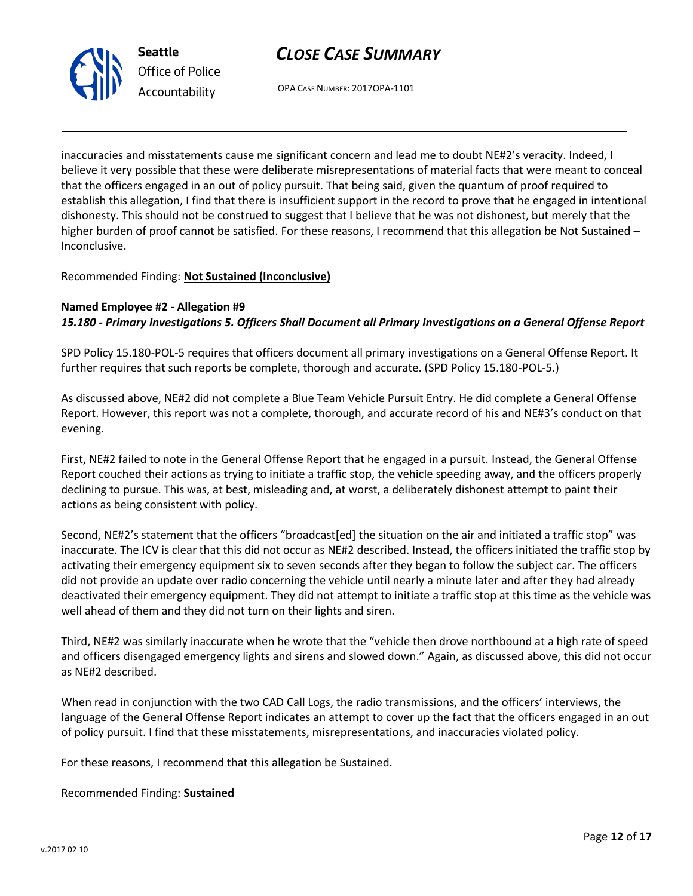



inaccuracies and misstatements cause me significant concern and lead me to doubt NE#2's veracity. Indeed, I believe it very possible that these were deliberate misrepresentations of material facts that were meant to conceal that the officers engaged in an out of policy pursuit. That being said, given the quantum of proof required to establish this allegation, I find that there is insufficient support in the record to prove that he engaged in intentional dishonesty. This should not be construed to suggest that I believe that he was not dishonest, but merely that the higher burden of proof cannot be satisfied. For these reasons, I recommend that this allegation be Not Sustained – Inconclusive.

## Recommended Finding: **Not Sustained (Inconclusive)**

## **Named Employee #2 - Allegation #9**

*15.180 - Primary Investigations 5. Officers Shall Document all Primary Investigations on a General Offense Report*

SPD Policy 15.180-POL-5 requires that officers document all primary investigations on a General Offense Report. It further requires that such reports be complete, thorough and accurate. (SPD Policy 15.180-POL-5.)

As discussed above, NE#2 did not complete a Blue Team Vehicle Pursuit Entry. He did complete a General Offense Report. However, this report was not a complete, thorough, and accurate record of his and NE#3's conduct on that evening.

First, NE#2 failed to note in the General Offense Report that he engaged in a pursuit. Instead, the General Offense Report couched their actions as trying to initiate a traffic stop, the vehicle speeding away, and the officers properly declining to pursue. This was, at best, misleading and, at worst, a deliberately dishonest attempt to paint their actions as being consistent with policy.

Second, NE#2's statement that the officers "broadcast[ed] the situation on the air and initiated a traffic stop" was inaccurate. The ICV is clear that this did not occur as NE#2 described. Instead, the officers initiated the traffic stop by activating their emergency equipment six to seven seconds after they began to follow the subject car. The officers did not provide an update over radio concerning the vehicle until nearly a minute later and after they had already deactivated their emergency equipment. They did not attempt to initiate a traffic stop at this time as the vehicle was well ahead of them and they did not turn on their lights and siren.

Third, NE#2 was similarly inaccurate when he wrote that the "vehicle then drove northbound at a high rate of speed and officers disengaged emergency lights and sirens and slowed down." Again, as discussed above, this did not occur as NE#2 described.

When read in conjunction with the two CAD Call Logs, the radio transmissions, and the officers' interviews, the language of the General Offense Report indicates an attempt to cover up the fact that the officers engaged in an out of policy pursuit. I find that these misstatements, misrepresentations, and inaccuracies violated policy.

For these reasons, I recommend that this allegation be Sustained.

#### Recommended Finding: **Sustained**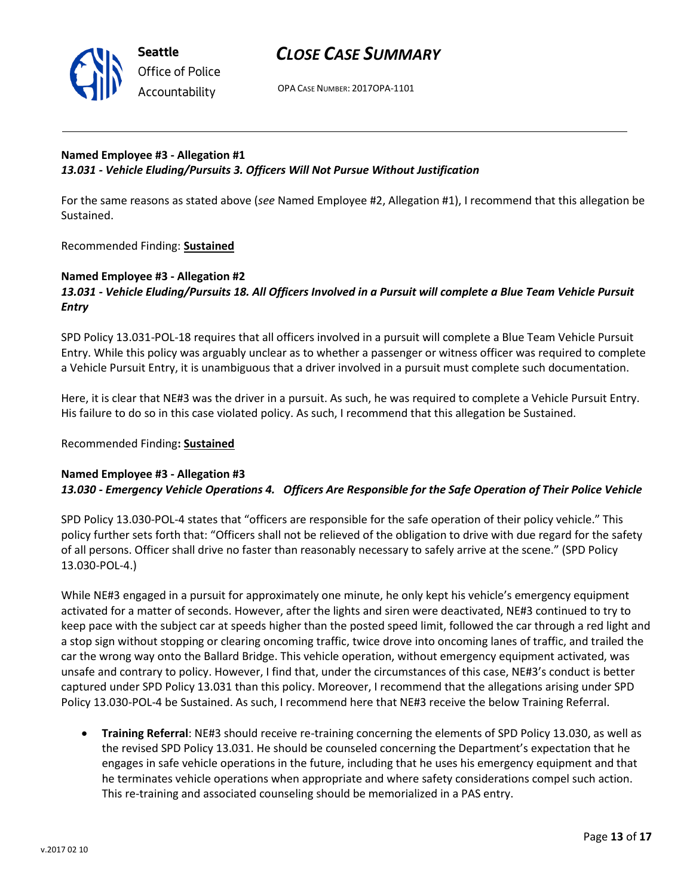

OPA CASE NUMBER: 2017OPA-1101

### **Named Employee #3 - Allegation #1** *13.031 - Vehicle Eluding/Pursuits 3. Officers Will Not Pursue Without Justification*

For the same reasons as stated above (*see* Named Employee #2, Allegation #1), I recommend that this allegation be Sustained.

Recommended Finding: **Sustained**

## **Named Employee #3 - Allegation #2**

## *13.031 - Vehicle Eluding/Pursuits 18. All Officers Involved in a Pursuit will complete a Blue Team Vehicle Pursuit Entry*

SPD Policy 13.031-POL-18 requires that all officers involved in a pursuit will complete a Blue Team Vehicle Pursuit Entry. While this policy was arguably unclear as to whether a passenger or witness officer was required to complete a Vehicle Pursuit Entry, it is unambiguous that a driver involved in a pursuit must complete such documentation.

Here, it is clear that NE#3 was the driver in a pursuit. As such, he was required to complete a Vehicle Pursuit Entry. His failure to do so in this case violated policy. As such, I recommend that this allegation be Sustained.

Recommended Finding**: Sustained**

### **Named Employee #3 - Allegation #3** *13.030 - Emergency Vehicle Operations 4. Officers Are Responsible for the Safe Operation of Their Police Vehicle*

SPD Policy 13.030-POL-4 states that "officers are responsible for the safe operation of their policy vehicle." This policy further sets forth that: "Officers shall not be relieved of the obligation to drive with due regard for the safety of all persons. Officer shall drive no faster than reasonably necessary to safely arrive at the scene." (SPD Policy 13.030-POL-4.)

While NE#3 engaged in a pursuit for approximately one minute, he only kept his vehicle's emergency equipment activated for a matter of seconds. However, after the lights and siren were deactivated, NE#3 continued to try to keep pace with the subject car at speeds higher than the posted speed limit, followed the car through a red light and a stop sign without stopping or clearing oncoming traffic, twice drove into oncoming lanes of traffic, and trailed the car the wrong way onto the Ballard Bridge. This vehicle operation, without emergency equipment activated, was unsafe and contrary to policy. However, I find that, under the circumstances of this case, NE#3's conduct is better captured under SPD Policy 13.031 than this policy. Moreover, I recommend that the allegations arising under SPD Policy 13.030-POL-4 be Sustained. As such, I recommend here that NE#3 receive the below Training Referral.

• **Training Referral**: NE#3 should receive re-training concerning the elements of SPD Policy 13.030, as well as the revised SPD Policy 13.031. He should be counseled concerning the Department's expectation that he engages in safe vehicle operations in the future, including that he uses his emergency equipment and that he terminates vehicle operations when appropriate and where safety considerations compel such action. This re-training and associated counseling should be memorialized in a PAS entry.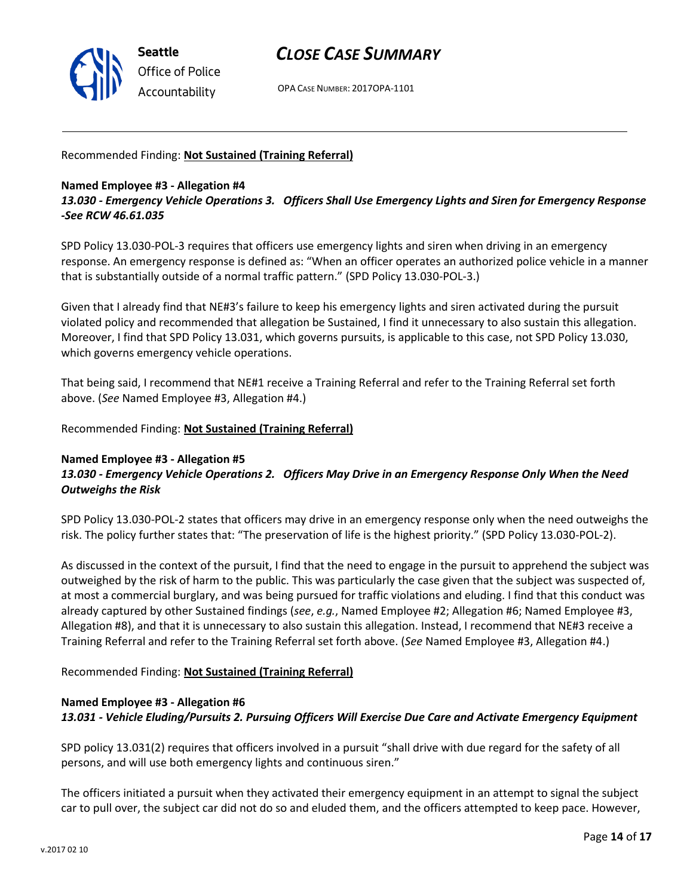

OPA CASE NUMBER: 2017OPA-1101

#### Recommended Finding: **Not Sustained (Training Referral)**

#### **Named Employee #3 - Allegation #4** *13.030 - Emergency Vehicle Operations 3. Officers Shall Use Emergency Lights and Siren for Emergency Response -See RCW 46.61.035*

SPD Policy 13.030-POL-3 requires that officers use emergency lights and siren when driving in an emergency response. An emergency response is defined as: "When an officer operates an authorized police vehicle in a manner that is substantially outside of a normal traffic pattern." (SPD Policy 13.030-POL-3.)

Given that I already find that NE#3's failure to keep his emergency lights and siren activated during the pursuit violated policy and recommended that allegation be Sustained, I find it unnecessary to also sustain this allegation. Moreover, I find that SPD Policy 13.031, which governs pursuits, is applicable to this case, not SPD Policy 13.030, which governs emergency vehicle operations.

That being said, I recommend that NE#1 receive a Training Referral and refer to the Training Referral set forth above. (*See* Named Employee #3, Allegation #4.)

#### Recommended Finding: **Not Sustained (Training Referral)**

#### **Named Employee #3 - Allegation #5** *13.030 - Emergency Vehicle Operations 2. Officers May Drive in an Emergency Response Only When the Need Outweighs the Risk*

SPD Policy 13.030-POL-2 states that officers may drive in an emergency response only when the need outweighs the risk. The policy further states that: "The preservation of life is the highest priority." (SPD Policy 13.030-POL-2).

As discussed in the context of the pursuit, I find that the need to engage in the pursuit to apprehend the subject was outweighed by the risk of harm to the public. This was particularly the case given that the subject was suspected of, at most a commercial burglary, and was being pursued for traffic violations and eluding. I find that this conduct was already captured by other Sustained findings (*see*, *e.g.*, Named Employee #2; Allegation #6; Named Employee #3, Allegation #8), and that it is unnecessary to also sustain this allegation. Instead, I recommend that NE#3 receive a Training Referral and refer to the Training Referral set forth above. (*See* Named Employee #3, Allegation #4.)

Recommended Finding: **Not Sustained (Training Referral)**

#### **Named Employee #3 - Allegation #6**

#### *13.031 - Vehicle Eluding/Pursuits 2. Pursuing Officers Will Exercise Due Care and Activate Emergency Equipment*

SPD policy 13.031(2) requires that officers involved in a pursuit "shall drive with due regard for the safety of all persons, and will use both emergency lights and continuous siren."

The officers initiated a pursuit when they activated their emergency equipment in an attempt to signal the subject car to pull over, the subject car did not do so and eluded them, and the officers attempted to keep pace. However,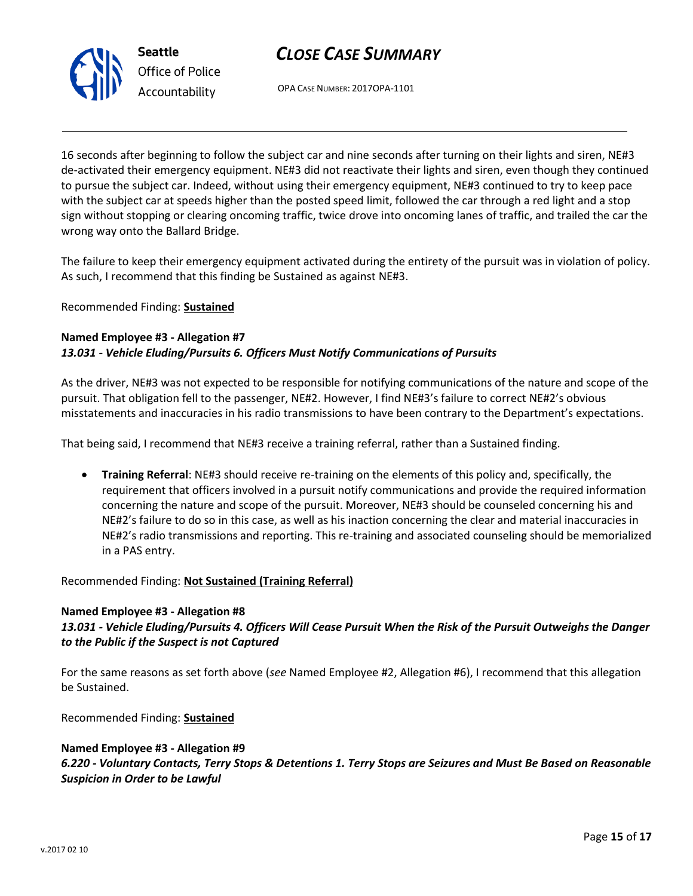



16 seconds after beginning to follow the subject car and nine seconds after turning on their lights and siren, NE#3 de-activated their emergency equipment. NE#3 did not reactivate their lights and siren, even though they continued to pursue the subject car. Indeed, without using their emergency equipment, NE#3 continued to try to keep pace with the subject car at speeds higher than the posted speed limit, followed the car through a red light and a stop sign without stopping or clearing oncoming traffic, twice drove into oncoming lanes of traffic, and trailed the car the wrong way onto the Ballard Bridge.

The failure to keep their emergency equipment activated during the entirety of the pursuit was in violation of policy. As such, I recommend that this finding be Sustained as against NE#3.

Recommended Finding: **Sustained**

## **Named Employee #3 - Allegation #7** *13.031 - Vehicle Eluding/Pursuits 6. Officers Must Notify Communications of Pursuits*

As the driver, NE#3 was not expected to be responsible for notifying communications of the nature and scope of the pursuit. That obligation fell to the passenger, NE#2. However, I find NE#3's failure to correct NE#2's obvious misstatements and inaccuracies in his radio transmissions to have been contrary to the Department's expectations.

That being said, I recommend that NE#3 receive a training referral, rather than a Sustained finding.

• **Training Referral**: NE#3 should receive re-training on the elements of this policy and, specifically, the requirement that officers involved in a pursuit notify communications and provide the required information concerning the nature and scope of the pursuit. Moreover, NE#3 should be counseled concerning his and NE#2's failure to do so in this case, as well as his inaction concerning the clear and material inaccuracies in NE#2's radio transmissions and reporting. This re-training and associated counseling should be memorialized in a PAS entry.

## Recommended Finding: **Not Sustained (Training Referral)**

## **Named Employee #3 - Allegation #8**

*13.031 - Vehicle Eluding/Pursuits 4. Officers Will Cease Pursuit When the Risk of the Pursuit Outweighs the Danger to the Public if the Suspect is not Captured*

For the same reasons as set forth above (*see* Named Employee #2, Allegation #6), I recommend that this allegation be Sustained.

Recommended Finding: **Sustained**

#### **Named Employee #3 - Allegation #9**

*6.220 - Voluntary Contacts, Terry Stops & Detentions 1. Terry Stops are Seizures and Must Be Based on Reasonable Suspicion in Order to be Lawful*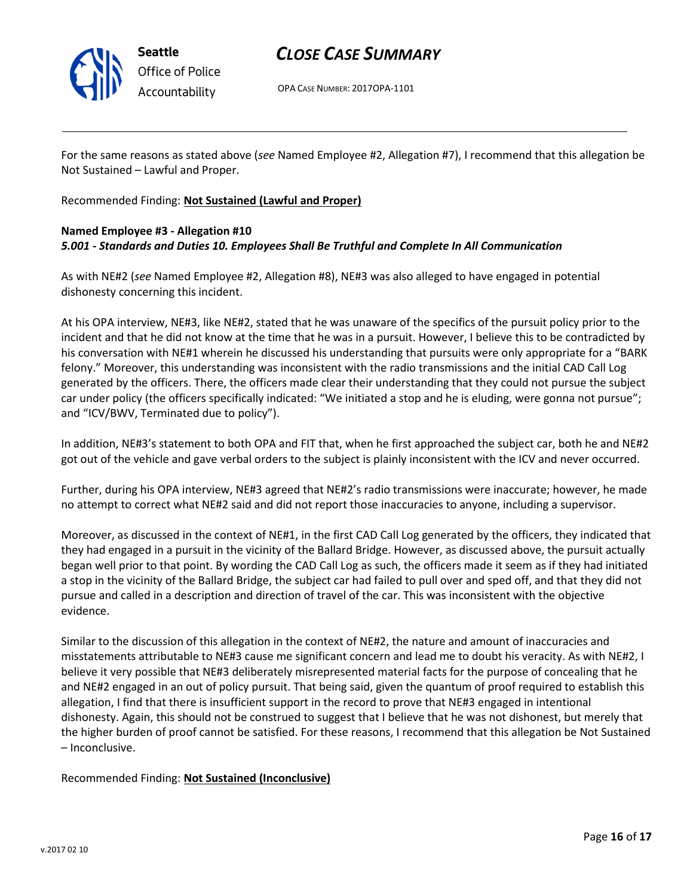

OPA CASE NUMBER: 2017OPA-1101

For the same reasons as stated above (*see* Named Employee #2, Allegation #7), I recommend that this allegation be Not Sustained – Lawful and Proper.

Recommended Finding: **Not Sustained (Lawful and Proper)**

## **Named Employee #3 - Allegation #10** *5.001 - Standards and Duties 10. Employees Shall Be Truthful and Complete In All Communication*

As with NE#2 (*see* Named Employee #2, Allegation #8), NE#3 was also alleged to have engaged in potential dishonesty concerning this incident.

At his OPA interview, NE#3, like NE#2, stated that he was unaware of the specifics of the pursuit policy prior to the incident and that he did not know at the time that he was in a pursuit. However, I believe this to be contradicted by his conversation with NE#1 wherein he discussed his understanding that pursuits were only appropriate for a "BARK felony." Moreover, this understanding was inconsistent with the radio transmissions and the initial CAD Call Log generated by the officers. There, the officers made clear their understanding that they could not pursue the subject car under policy (the officers specifically indicated: "We initiated a stop and he is eluding, were gonna not pursue"; and "ICV/BWV, Terminated due to policy").

In addition, NE#3's statement to both OPA and FIT that, when he first approached the subject car, both he and NE#2 got out of the vehicle and gave verbal orders to the subject is plainly inconsistent with the ICV and never occurred.

Further, during his OPA interview, NE#3 agreed that NE#2's radio transmissions were inaccurate; however, he made no attempt to correct what NE#2 said and did not report those inaccuracies to anyone, including a supervisor.

Moreover, as discussed in the context of NE#1, in the first CAD Call Log generated by the officers, they indicated that they had engaged in a pursuit in the vicinity of the Ballard Bridge. However, as discussed above, the pursuit actually began well prior to that point. By wording the CAD Call Log as such, the officers made it seem as if they had initiated a stop in the vicinity of the Ballard Bridge, the subject car had failed to pull over and sped off, and that they did not pursue and called in a description and direction of travel of the car. This was inconsistent with the objective evidence.

Similar to the discussion of this allegation in the context of NE#2, the nature and amount of inaccuracies and misstatements attributable to NE#3 cause me significant concern and lead me to doubt his veracity. As with NE#2, I believe it very possible that NE#3 deliberately misrepresented material facts for the purpose of concealing that he and NE#2 engaged in an out of policy pursuit. That being said, given the quantum of proof required to establish this allegation, I find that there is insufficient support in the record to prove that NE#3 engaged in intentional dishonesty. Again, this should not be construed to suggest that I believe that he was not dishonest, but merely that the higher burden of proof cannot be satisfied. For these reasons, I recommend that this allegation be Not Sustained – Inconclusive.

Recommended Finding: **Not Sustained (Inconclusive)**